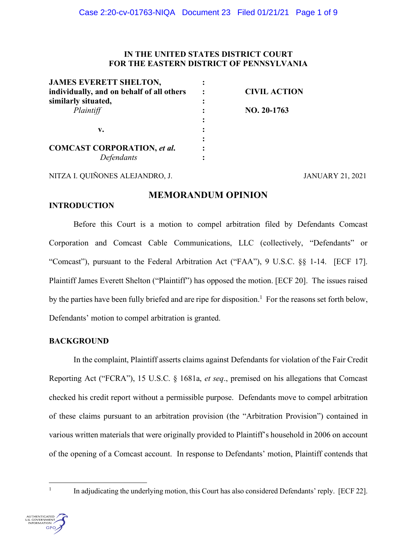# **IN THE UNITED STATES DISTRICT COURT FOR THE EASTERN DISTRICT OF PENNSYLVANIA**

| <b>JAMES EVERETT SHELTON,</b>             |                     |
|-------------------------------------------|---------------------|
| individually, and on behalf of all others | <b>CIVIL ACTION</b> |
| similarly situated,                       |                     |
| Plaintiff                                 | NO. 20-1763         |
|                                           |                     |
| v.                                        |                     |
|                                           |                     |
| <b>COMCAST CORPORATION, et al.</b>        |                     |
| Defendants                                |                     |
|                                           |                     |

NITZA I. QUIÑONES ALEJANDRO, J. JANUARY 21, 2021

# **MEMORANDUM OPINION**

### **INTRODUCTION**

Before this Court is a motion to compel arbitration filed by Defendants Comcast Corporation and Comcast Cable Communications, LLC (collectively, "Defendants" or "Comcast"), pursuant to the Federal Arbitration Act ("FAA"), 9 U.S.C. §§ 1-14. [ECF 17]. Plaintiff James Everett Shelton ("Plaintiff") has opposed the motion. [ECF 20]. The issues raised by the parties have been fully briefed and are ripe for disposition.<sup>1</sup> For the reasons set forth below, Defendants' motion to compel arbitration is granted.

## **BACKGROUND**

In the complaint, Plaintiff asserts claims against Defendants for violation of the Fair Credit Reporting Act ("FCRA"), 15 U.S.C. § 1681a, *et seq*., premised on his allegations that Comcast checked his credit report without a permissible purpose. Defendants move to compel arbitration of these claims pursuant to an arbitration provision (the "Arbitration Provision") contained in various written materials that were originally provided to Plaintiff's household in 2006 on account of the opening of a Comcast account. In response to Defendants' motion, Plaintiff contends that

 <sup>1</sup> In adjudicating the underlying motion, this Court has also considered Defendants' reply. [ECF 22].

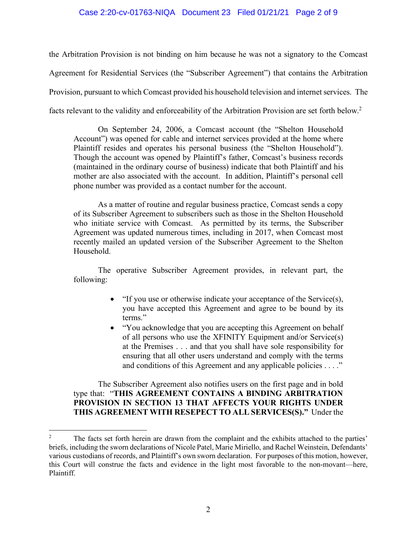### Case 2:20-cv-01763-NIQA Document 23 Filed 01/21/21 Page 2 of 9

the Arbitration Provision is not binding on him because he was not a signatory to the Comcast Agreement for Residential Services (the "Subscriber Agreement") that contains the Arbitration Provision, pursuant to which Comcast provided his household television and internet services. The facts relevant to the validity and enforceability of the Arbitration Provision are set forth below.2

On September 24, 2006, a Comcast account (the "Shelton Household Account") was opened for cable and internet services provided at the home where Plaintiff resides and operates his personal business (the "Shelton Household"). Though the account was opened by Plaintiff's father, Comcast's business records (maintained in the ordinary course of business) indicate that both Plaintiff and his mother are also associated with the account. In addition, Plaintiff's personal cell phone number was provided as a contact number for the account.

As a matter of routine and regular business practice, Comcast sends a copy of its Subscriber Agreement to subscribers such as those in the Shelton Household who initiate service with Comcast. As permitted by its terms, the Subscriber Agreement was updated numerous times, including in 2017, when Comcast most recently mailed an updated version of the Subscriber Agreement to the Shelton Household.

The operative Subscriber Agreement provides, in relevant part, the following:

- "If you use or otherwise indicate your acceptance of the Service(s), you have accepted this Agreement and agree to be bound by its terms."
- "You acknowledge that you are accepting this Agreement on behalf of all persons who use the XFINITY Equipment and/or Service(s) at the Premises . . . and that you shall have sole responsibility for ensuring that all other users understand and comply with the terms and conditions of this Agreement and any applicable policies . . . ."

## The Subscriber Agreement also notifies users on the first page and in bold type that: "**THIS AGREEMENT CONTAINS A BINDING ARBITRATION PROVISION IN SECTION 13 THAT AFFECTS YOUR RIGHTS UNDER THIS AGREEMENT WITH RESEPECT TO ALL SERVICES(S)."** Under the

<sup>&</sup>lt;sup>2</sup> The facts set forth herein are drawn from the complaint and the exhibits attached to the parties' briefs, including the sworn declarations of Nicole Patel, Marie Miriello, and Rachel Weinstein, Defendants' various custodians of records, and Plaintiff's own sworn declaration. For purposes of this motion, however, this Court will construe the facts and evidence in the light most favorable to the non-movant—here, Plaintiff.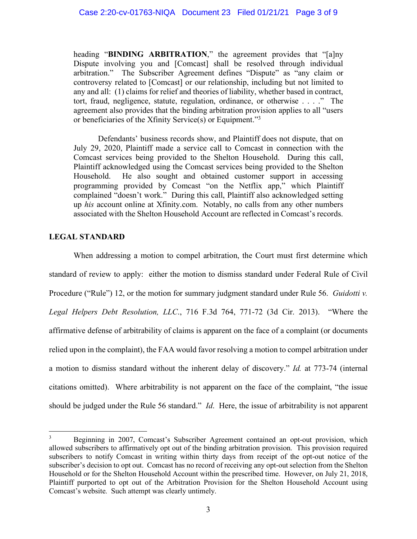heading "**BINDING ARBITRATION**," the agreement provides that "[a]ny Dispute involving you and [Comcast] shall be resolved through individual arbitration." The Subscriber Agreement defines "Dispute" as "any claim or controversy related to [Comcast] or our relationship, including but not limited to any and all: (1) claims for relief and theories of liability, whether based in contract, tort, fraud, negligence, statute, regulation, ordinance, or otherwise . . . ." The agreement also provides that the binding arbitration provision applies to all "users or beneficiaries of the Xfinity Service(s) or Equipment."3

Defendants' business records show, and Plaintiff does not dispute, that on July 29, 2020, Plaintiff made a service call to Comcast in connection with the Comcast services being provided to the Shelton Household. During this call, Plaintiff acknowledged using the Comcast services being provided to the Shelton Household. He also sought and obtained customer support in accessing programming provided by Comcast "on the Netflix app," which Plaintiff complained "doesn't work." During this call, Plaintiff also acknowledged setting up *his* account online at Xfinity.com. Notably, no calls from any other numbers associated with the Shelton Household Account are reflected in Comcast's records.

# **LEGAL STANDARD**

When addressing a motion to compel arbitration, the Court must first determine which standard of review to apply: either the motion to dismiss standard under Federal Rule of Civil Procedure ("Rule") 12, or the motion for summary judgment standard under Rule 56. *Guidotti v. Legal Helpers Debt Resolution, LLC*., 716 F.3d 764, 771-72 (3d Cir. 2013). "Where the affirmative defense of arbitrability of claims is apparent on the face of a complaint (or documents relied upon in the complaint), the FAA would favor resolving a motion to compel arbitration under a motion to dismiss standard without the inherent delay of discovery." *Id.* at 773-74 (internal citations omitted). Where arbitrability is not apparent on the face of the complaint, "the issue should be judged under the Rule 56 standard." *Id*. Here, the issue of arbitrability is not apparent

<sup>&</sup>lt;sup>3</sup> Beginning in 2007, Comcast's Subscriber Agreement contained an opt-out provision, which allowed subscribers to affirmatively opt out of the binding arbitration provision. This provision required subscribers to notify Comcast in writing within thirty days from receipt of the opt-out notice of the subscriber's decision to opt out. Comcast has no record of receiving any opt-out selection from the Shelton Household or for the Shelton Household Account within the prescribed time. However, on July 21, 2018, Plaintiff purported to opt out of the Arbitration Provision for the Shelton Household Account using Comcast's website. Such attempt was clearly untimely.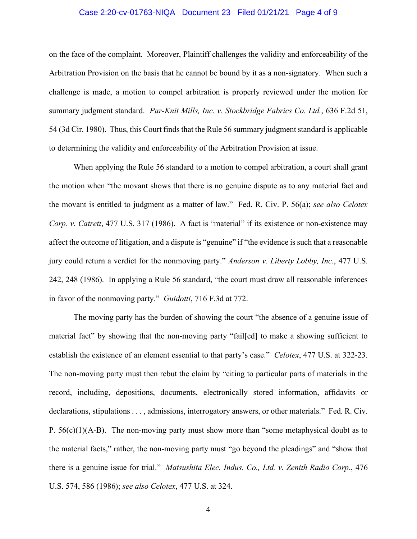#### Case 2:20-cv-01763-NIQA Document 23 Filed 01/21/21 Page 4 of 9

on the face of the complaint. Moreover, Plaintiff challenges the validity and enforceability of the Arbitration Provision on the basis that he cannot be bound by it as a non-signatory. When such a challenge is made, a motion to compel arbitration is properly reviewed under the motion for summary judgment standard. *Par-Knit Mills, Inc. v. Stockbridge Fabrics Co. Ltd.*, 636 F.2d 51, 54 (3d Cir. 1980). Thus, this Court finds that the Rule 56 summary judgment standard is applicable to determining the validity and enforceability of the Arbitration Provision at issue.

When applying the Rule 56 standard to a motion to compel arbitration, a court shall grant the motion when "the movant shows that there is no genuine dispute as to any material fact and the movant is entitled to judgment as a matter of law." Fed. R. Civ. P. 56(a); *see also Celotex Corp. v. Catrett*, 477 U.S. 317 (1986). A fact is "material" if its existence or non-existence may affect the outcome of litigation, and a dispute is "genuine" if "the evidence is such that a reasonable jury could return a verdict for the nonmoving party." *Anderson v. Liberty Lobby, Inc.*, 477 U.S. 242, 248 (1986). In applying a Rule 56 standard, "the court must draw all reasonable inferences in favor of the nonmoving party." *Guidotti*, 716 F.3d at 772.

The moving party has the burden of showing the court "the absence of a genuine issue of material fact" by showing that the non-moving party "fail[ed] to make a showing sufficient to establish the existence of an element essential to that party's case." *Celotex*, 477 U.S. at 322-23. The non-moving party must then rebut the claim by "citing to particular parts of materials in the record, including, depositions, documents, electronically stored information, affidavits or declarations, stipulations . . . , admissions, interrogatory answers, or other materials." Fed. R. Civ. P.  $56(c)(1)(A-B)$ . The non-moving party must show more than "some metaphysical doubt as to the material facts," rather, the non-moving party must "go beyond the pleadings" and "show that there is a genuine issue for trial." *Matsushita Elec. Indus. Co., Ltd. v. Zenith Radio Corp.*, 476 U.S. 574, 586 (1986); *see also Celotex*, 477 U.S. at 324.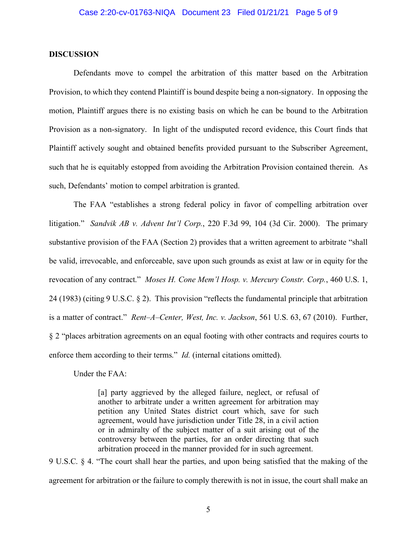#### **DISCUSSION**

Defendants move to compel the arbitration of this matter based on the Arbitration Provision, to which they contend Plaintiff is bound despite being a non-signatory. In opposing the motion, Plaintiff argues there is no existing basis on which he can be bound to the Arbitration Provision as a non-signatory. In light of the undisputed record evidence, this Court finds that Plaintiff actively sought and obtained benefits provided pursuant to the Subscriber Agreement, such that he is equitably estopped from avoiding the Arbitration Provision contained therein. As such, Defendants' motion to compel arbitration is granted.

The FAA "establishes a strong federal policy in favor of compelling arbitration over litigation." *Sandvik AB v. Advent Int'l Corp.*, 220 F.3d 99, 104 (3d Cir. 2000). The primary substantive provision of the FAA (Section 2) provides that a written agreement to arbitrate "shall be valid, irrevocable, and enforceable, save upon such grounds as exist at law or in equity for the revocation of any contract." *Moses H. Cone Mem'l Hosp. v. Mercury Constr. Corp.*, 460 U.S. 1, 24 (1983) (citing 9 U.S.C. § 2). This provision "reflects the fundamental principle that arbitration is a matter of contract." *Rent–A–Center, West, Inc. v. Jackson*, 561 U.S. 63, 67 (2010). Further, § 2 "places arbitration agreements on an equal footing with other contracts and requires courts to enforce them according to their terms." *Id.* (internal citations omitted).

Under the FAA:

[a] party aggrieved by the alleged failure, neglect, or refusal of another to arbitrate under a written agreement for arbitration may petition any United States district court which, save for such agreement, would have jurisdiction under Title 28, in a civil action or in admiralty of the subject matter of a suit arising out of the controversy between the parties, for an order directing that such arbitration proceed in the manner provided for in such agreement.

9 U.S.C. § 4. "The court shall hear the parties, and upon being satisfied that the making of the agreement for arbitration or the failure to comply therewith is not in issue, the court shall make an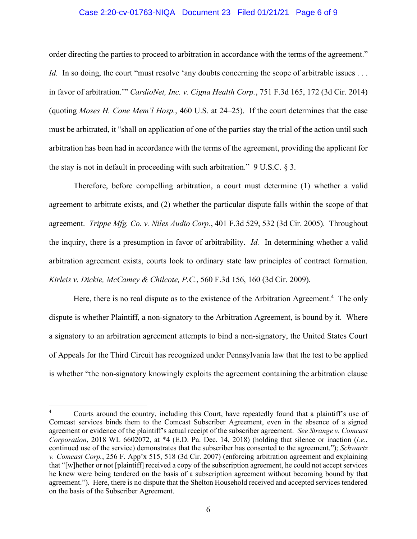#### Case 2:20-cv-01763-NIQA Document 23 Filed 01/21/21 Page 6 of 9

order directing the parties to proceed to arbitration in accordance with the terms of the agreement." *Id.* In so doing, the court "must resolve 'any doubts concerning the scope of arbitrable issues . . . in favor of arbitration.'" *CardioNet, Inc. v. Cigna Health Corp.*, 751 F.3d 165, 172 (3d Cir. 2014) (quoting *Moses H. Cone Mem'l Hosp.*, 460 U.S. at 24–25). If the court determines that the case must be arbitrated, it "shall on application of one of the parties stay the trial of the action until such arbitration has been had in accordance with the terms of the agreement, providing the applicant for the stay is not in default in proceeding with such arbitration." 9 U.S.C. § 3.

Therefore, before compelling arbitration, a court must determine (1) whether a valid agreement to arbitrate exists, and (2) whether the particular dispute falls within the scope of that agreement. *Trippe Mfg. Co. v. Niles Audio Corp.*, 401 F.3d 529, 532 (3d Cir. 2005). Throughout the inquiry, there is a presumption in favor of arbitrability. *Id.* In determining whether a valid arbitration agreement exists, courts look to ordinary state law principles of contract formation. *Kirleis v. Dickie, McCamey & Chilcote, P.C.*, 560 F.3d 156, 160 (3d Cir. 2009).

Here, there is no real dispute as to the existence of the Arbitration Agreement.<sup>4</sup> The only dispute is whether Plaintiff, a non-signatory to the Arbitration Agreement, is bound by it. Where a signatory to an arbitration agreement attempts to bind a non-signatory, the United States Court of Appeals for the Third Circuit has recognized under Pennsylvania law that the test to be applied is whether "the non-signatory knowingly exploits the agreement containing the arbitration clause

 <sup>4</sup> Courts around the country, including this Court, have repeatedly found that a plaintiff's use of Comcast services binds them to the Comcast Subscriber Agreement, even in the absence of a signed agreement or evidence of the plaintiff's actual receipt of the subscriber agreement. *See Strange v. Comcast Corporation*, 2018 WL 6602072, at \*4 (E.D. Pa. Dec. 14, 2018) (holding that silence or inaction (*i.e*., continued use of the service) demonstrates that the subscriber has consented to the agreement."); *Schwartz v. Comcast Corp.*, 256 F. App'x 515, 518 (3d Cir. 2007) (enforcing arbitration agreement and explaining that "[w]hether or not [plaintiff] received a copy of the subscription agreement, he could not accept services he knew were being tendered on the basis of a subscription agreement without becoming bound by that agreement."). Here, there is no dispute that the Shelton Household received and accepted services tendered on the basis of the Subscriber Agreement.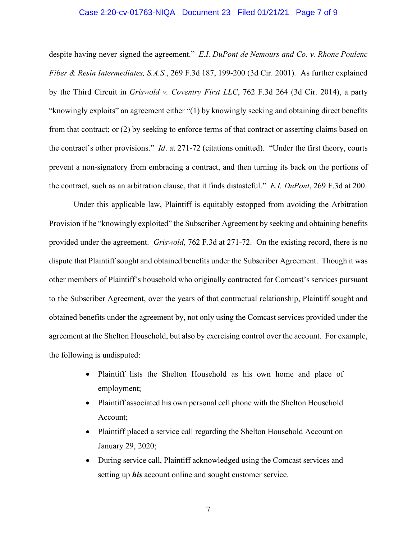#### Case 2:20-cv-01763-NIQA Document 23 Filed 01/21/21 Page 7 of 9

despite having never signed the agreement." *E.I. DuPont de Nemours and Co. v. Rhone Poulenc Fiber & Resin Intermediates, S.A.S.*, 269 F.3d 187, 199-200 (3d Cir. 2001). As further explained by the Third Circuit in *Griswold v. Coventry First LLC*, 762 F.3d 264 (3d Cir. 2014), a party "knowingly exploits" an agreement either "(1) by knowingly seeking and obtaining direct benefits from that contract; or (2) by seeking to enforce terms of that contract or asserting claims based on the contract's other provisions." *Id*. at 271-72 (citations omitted). "Under the first theory, courts prevent a non-signatory from embracing a contract, and then turning its back on the portions of the contract, such as an arbitration clause, that it finds distasteful." *E.I. DuPont*, 269 F.3d at 200.

Under this applicable law, Plaintiff is equitably estopped from avoiding the Arbitration Provision if he "knowingly exploited" the Subscriber Agreement by seeking and obtaining benefits provided under the agreement. *Griswold*, 762 F.3d at 271-72. On the existing record, there is no dispute that Plaintiff sought and obtained benefits under the Subscriber Agreement. Though it was other members of Plaintiff's household who originally contracted for Comcast's services pursuant to the Subscriber Agreement, over the years of that contractual relationship, Plaintiff sought and obtained benefits under the agreement by, not only using the Comcast services provided under the agreement at the Shelton Household, but also by exercising control over the account. For example, the following is undisputed:

- Plaintiff lists the Shelton Household as his own home and place of employment;
- Plaintiff associated his own personal cell phone with the Shelton Household Account;
- Plaintiff placed a service call regarding the Shelton Household Account on January 29, 2020;
- During service call, Plaintiff acknowledged using the Comcast services and setting up *his* account online and sought customer service.

7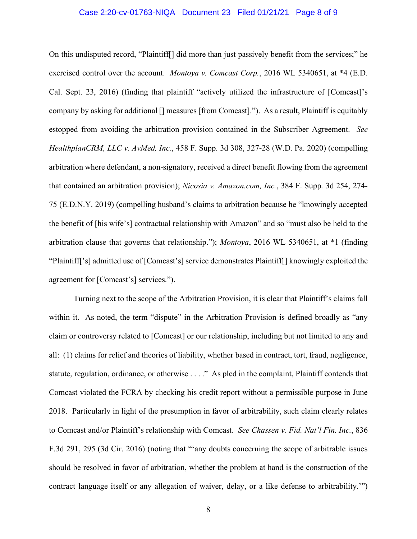#### Case 2:20-cv-01763-NIQA Document 23 Filed 01/21/21 Page 8 of 9

On this undisputed record, "Plaintiff[] did more than just passively benefit from the services;" he exercised control over the account. *Montoya v. Comcast Corp.*, 2016 WL 5340651, at \*4 (E.D. Cal. Sept. 23, 2016) (finding that plaintiff "actively utilized the infrastructure of [Comcast]'s company by asking for additional [] measures [from Comcast]."). As a result, Plaintiff is equitably estopped from avoiding the arbitration provision contained in the Subscriber Agreement. *See HealthplanCRM, LLC v. AvMed, Inc.*, 458 F. Supp. 3d 308, 327-28 (W.D. Pa. 2020) (compelling arbitration where defendant, a non-signatory, received a direct benefit flowing from the agreement that contained an arbitration provision); *Nicosia v. Amazon.com, Inc.*, 384 F. Supp. 3d 254, 274- 75 (E.D.N.Y. 2019) (compelling husband's claims to arbitration because he "knowingly accepted the benefit of [his wife's] contractual relationship with Amazon" and so "must also be held to the arbitration clause that governs that relationship."); *Montoya*, 2016 WL 5340651, at \*1 (finding "Plaintiff['s] admitted use of [Comcast's] service demonstrates Plaintiff[] knowingly exploited the agreement for [Comcast's] services.").

Turning next to the scope of the Arbitration Provision, it is clear that Plaintiff's claims fall within it. As noted, the term "dispute" in the Arbitration Provision is defined broadly as "any claim or controversy related to [Comcast] or our relationship, including but not limited to any and all: (1) claims for relief and theories of liability, whether based in contract, tort, fraud, negligence, statute, regulation, ordinance, or otherwise . . . ." As pled in the complaint, Plaintiff contends that Comcast violated the FCRA by checking his credit report without a permissible purpose in June 2018. Particularly in light of the presumption in favor of arbitrability, such claim clearly relates to Comcast and/or Plaintiff's relationship with Comcast. *See Chassen v. Fid. Nat'l Fin. Inc.*, 836 F.3d 291, 295 (3d Cir. 2016) (noting that "'any doubts concerning the scope of arbitrable issues should be resolved in favor of arbitration, whether the problem at hand is the construction of the contract language itself or any allegation of waiver, delay, or a like defense to arbitrability.'")